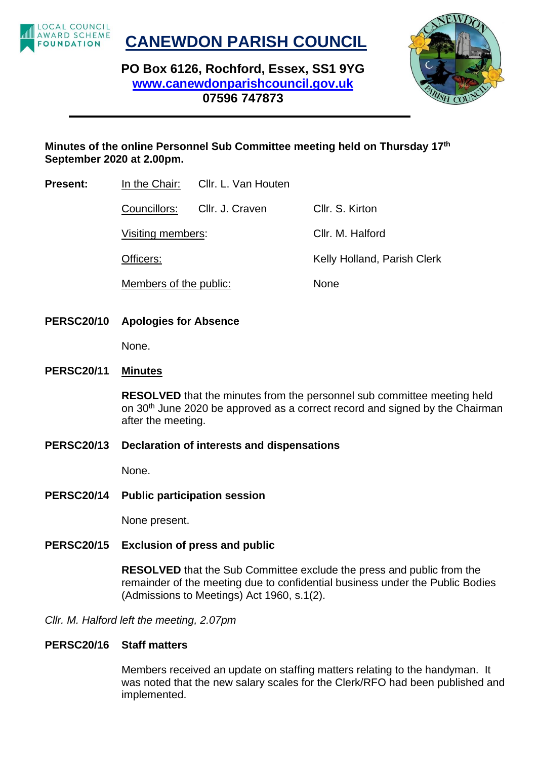

**CANEWDON PARISH COUNCIL**

**PO Box 6126, Rochford, Essex, SS1 9YG [www.canewdonparishcouncil.gov.uk](http://www.canewdonparishcouncil.gov.uk/) 07596 747873**



## **Minutes of the online Personnel Sub Committee meeting held on Thursday 17th September 2020 at 2.00pm.**

**Present:** In the Chair: Cllr. L. Van Houten

Councillors: Cllr. J. Craven Cllr. S. Kirton Visiting members: Cllr. M. Halford Officers: Channel Communist Clerk Kelly Holland, Parish Clerk Members of the public: None

**PERSC20/10 Apologies for Absence**

None.

#### **PERSC20/11 Minutes**

**RESOLVED** that the minutes from the personnel sub committee meeting held on 30<sup>th</sup> June 2020 be approved as a correct record and signed by the Chairman after the meeting.

**PERSC20/13 Declaration of interests and dispensations**

None.

**PERSC20/14 Public participation session**

None present.

#### **PERSC20/15 Exclusion of press and public**

**RESOLVED** that the Sub Committee exclude the press and public from the remainder of the meeting due to confidential business under the Public Bodies (Admissions to Meetings) Act 1960, s.1(2).

*Cllr. M. Halford left the meeting, 2.07pm*

#### **PERSC20/16 Staff matters**

Members received an update on staffing matters relating to the handyman. It was noted that the new salary scales for the Clerk/RFO had been published and implemented.